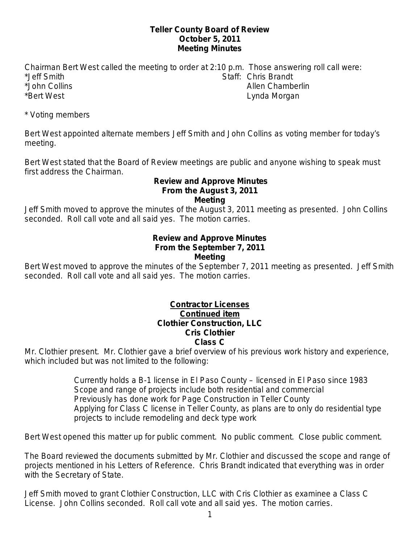## **Teller County Board of Review October 5, 2011 Meeting Minutes**

Chairman Bert West called the meeting to order at 2:10 p.m. Those answering roll call were: \*Jeff Smith Staff: Chris Brandt \*John Collins Allen Chamberlin \*Bert West Lynda Morgan

\* Voting members

Bert West appointed alternate members Jeff Smith and John Collins as voting member for today's meeting.

Bert West stated that the Board of Review meetings are public and anyone wishing to speak must first address the Chairman.

#### **Review and Approve Minutes From the August 3, 2011 Meeting**

Jeff Smith moved to approve the minutes of the August 3, 2011 meeting as presented. John Collins seconded. Roll call vote and all said yes. The motion carries.

#### **Review and Approve Minutes From the September 7, 2011 Meeting**

Bert West moved to approve the minutes of the September 7, 2011 meeting as presented. Jeff Smith seconded. Roll call vote and all said yes. The motion carries.

## **Contractor Licenses Continued item Clothier Construction, LLC Cris Clothier Class C**

Mr. Clothier present. Mr. Clothier gave a brief overview of his previous work history and experience, which included but was not limited to the following:

> Currently holds a B-1 license in El Paso County – licensed in El Paso since 1983 Scope and range of projects include both residential and commercial Previously has done work for Page Construction in Teller County Applying for Class C license in Teller County, as plans are to only do residential type projects to include remodeling and deck type work

Bert West opened this matter up for public comment. No public comment. Close public comment.

The Board reviewed the documents submitted by Mr. Clothier and discussed the scope and range of projects mentioned in his Letters of Reference. Chris Brandt indicated that everything was in order with the Secretary of State.

Jeff Smith moved to grant Clothier Construction, LLC with Cris Clothier as examinee a Class C License. John Collins seconded. Roll call vote and all said yes. The motion carries.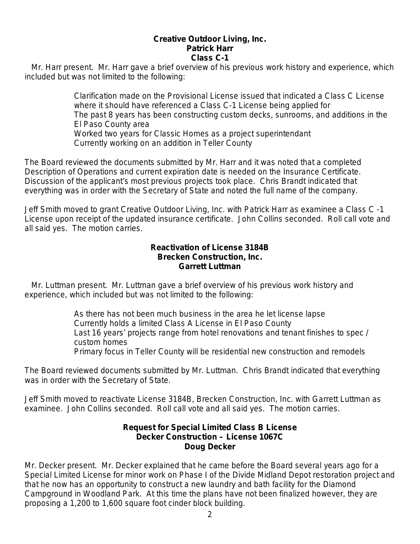## **Creative Outdoor Living, Inc. Patrick Harr Class C-1**

Mr. Harr present. Mr. Harr gave a brief overview of his previous work history and experience, which included but was not limited to the following:

> Clarification made on the Provisional License issued that indicated a Class C License where it should have referenced a Class C-1 License being applied for The past 8 years has been constructing custom decks, sunrooms, and additions in the El Paso County area Worked two years for Classic Homes as a project superintendant Currently working on an addition in Teller County

The Board reviewed the documents submitted by Mr. Harr and it was noted that a completed Description of Operations and current expiration date is needed on the Insurance Certificate. Discussion of the applicant's most previous projects took place. Chris Brandt indicated that everything was in order with the Secretary of State and noted the full name of the company.

Jeff Smith moved to grant Creative Outdoor Living, Inc. with Patrick Harr as examinee a Class C -1 License upon receipt of the updated insurance certificate. John Collins seconded. Roll call vote and all said yes. The motion carries.

### **Reactivation of License 3184B Brecken Construction, Inc. Garrett Luttman**

Mr. Luttman present. Mr. Luttman gave a brief overview of his previous work history and experience, which included but was not limited to the following:

> As there has not been much business in the area he let license lapse Currently holds a limited Class A License in El Paso County Last 16 years' projects range from hotel renovations and tenant finishes to spec / custom homes Primary focus in Teller County will be residential new construction and remodels

The Board reviewed documents submitted by Mr. Luttman. Chris Brandt indicated that everything was in order with the Secretary of State.

Jeff Smith moved to reactivate License 3184B, Brecken Construction, Inc. with Garrett Luttman as examinee. John Collins seconded. Roll call vote and all said yes. The motion carries.

### **Request for Special Limited Class B License Decker Construction – License 1067C Doug Decker**

Mr. Decker present. Mr. Decker explained that he came before the Board several years ago for a Special Limited License for minor work on Phase I of the Divide Midland Depot restoration project and that he now has an opportunity to construct a new laundry and bath facility for the Diamond Campground in Woodland Park. At this time the plans have not been finalized however, they are proposing a 1,200 to 1,600 square foot cinder block building.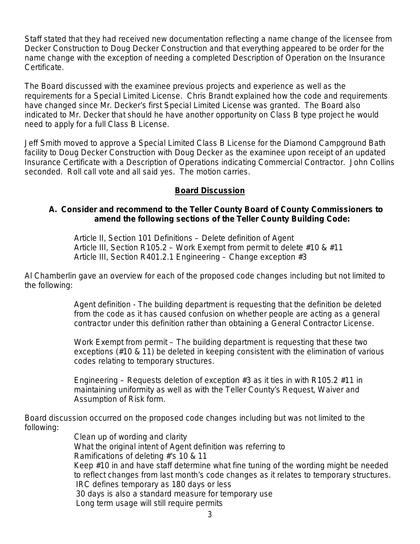Staff stated that they had received new documentation reflecting a name change of the licensee from Decker Construction to Doug Decker Construction and that everything appeared to be order for the name change with the exception of needing a completed Description of Operation on the Insurance Certificate.

The Board discussed with the examinee previous projects and experience as well as the requirements for a Special Limited License. Chris Brandt explained how the code and requirements have changed since Mr. Decker's first Special Limited License was granted. The Board also indicated to Mr. Decker that should he have another opportunity on Class B type project he would need to apply for a full Class B License.

Jeff Smith moved to approve a Special Limited Class B License for the Diamond Campground Bath facility to Doug Decker Construction with Doug Decker as the examinee upon receipt of an updated Insurance Certificate with a Description of Operations indicating Commercial Contractor. John Collins seconded. Roll call vote and all said yes. The motion carries.

# **Board Discussion**

## **A. Consider and recommend to the Teller County Board of County Commissioners to amend the following sections of the Teller County Building Code:**

Article II, Section 101 Definitions – Delete definition of Agent Article III, Section R105.2 – Work Exempt from permit to delete #10 & #11 Article III, Section R401.2.1 Engineering – Change exception #3

Al Chamberlin gave an overview for each of the proposed code changes including but not limited to the following:

> Agent definition - The building department is requesting that the definition be deleted from the code as it has caused confusion on whether people are acting as a general contractor under this definition rather than obtaining a General Contractor License.

> Work Exempt from permit – The building department is requesting that these two exceptions (#10 & 11) be deleted in keeping consistent with the elimination of various codes relating to temporary structures.

Engineering – Requests deletion of exception #3 as it ties in with R105.2 #11 in maintaining uniformity as well as with the Teller County's Request, Waiver and Assumption of Risk form.

Board discussion occurred on the proposed code changes including but was not limited to the following:

Clean up of wording and clarity What the original intent of Agent definition was referring to Ramifications of deleting #'s 10 & 11 Keep #10 in and have staff determine what fine tuning of the wording might be needed to reflect changes from last month's code changes as it relates to temporary structures. IRC defines temporary as 180 days or less 30 days is also a standard measure for temporary use Long term usage will still require permits